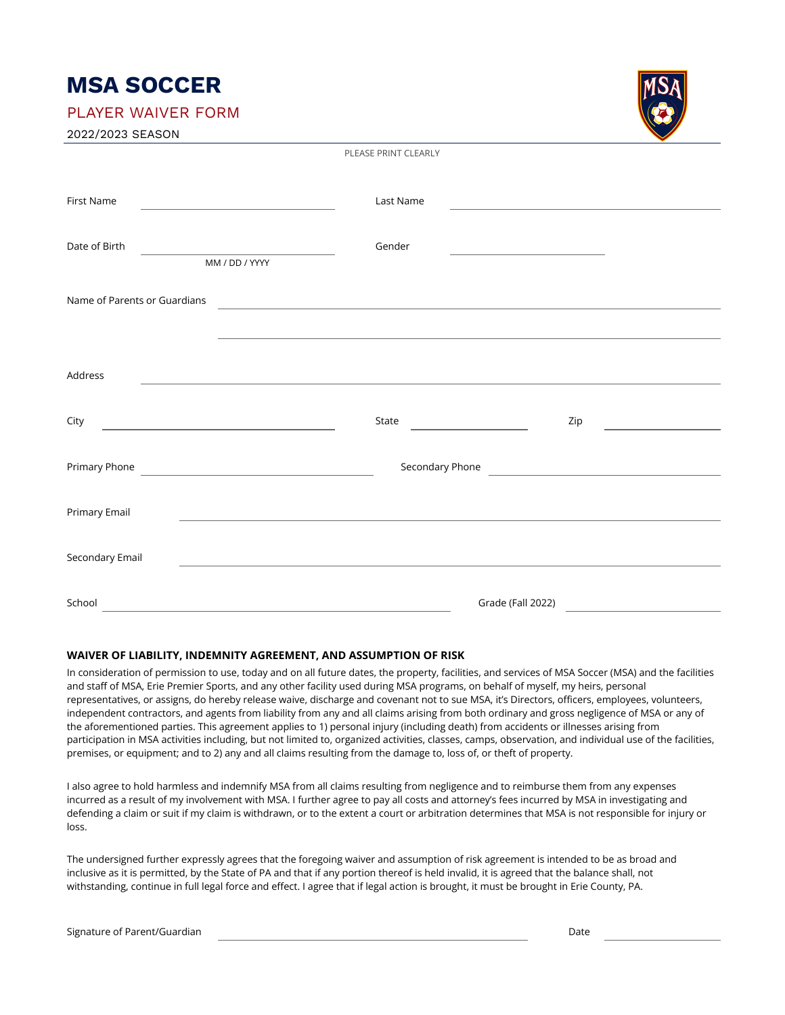# **MSA SOCCER**

PLAYER WAIVER FORM

| 2022/2023 SEASON |  |
|------------------|--|
|------------------|--|

| First Name<br><u> 1989 - Johann Stoff, deutscher Stoffen und der Stoffen und der Stoffen und der Stoffen und der Stoffen und der</u> | Last Name                                                                                                                      | <u> 1989 - Andrea State Barbara, amerikan per</u> |  |
|--------------------------------------------------------------------------------------------------------------------------------------|--------------------------------------------------------------------------------------------------------------------------------|---------------------------------------------------|--|
| Date of Birth<br>MM / DD / YYYY                                                                                                      | Gender                                                                                                                         | the control of the control of the control of the  |  |
| Name of Parents or Guardians                                                                                                         |                                                                                                                                |                                                   |  |
|                                                                                                                                      |                                                                                                                                |                                                   |  |
| Address                                                                                                                              |                                                                                                                                |                                                   |  |
| City                                                                                                                                 | State<br><u> Liston de la construcción de la construcción de la construcción de la construcción de la construcción de la c</u> | Zip                                               |  |
|                                                                                                                                      |                                                                                                                                | Secondary Phone                                   |  |
| Primary Email                                                                                                                        |                                                                                                                                |                                                   |  |
| Secondary Email                                                                                                                      |                                                                                                                                |                                                   |  |
| School                                                                                                                               |                                                                                                                                | Grade (Fall 2022)                                 |  |

PLEASE PRINT CLEARLY

### **WAIVER OF LIABILITY, INDEMNITY AGREEMENT, AND ASSUMPTION OF RISK**

In consideration of permission to use, today and on all future dates, the property, facilities, and services of MSA Soccer (MSA) and the facilities and staff of MSA, Erie Premier Sports, and any other facility used during MSA programs, on behalf of myself, my heirs, personal representatives, or assigns, do hereby release waive, discharge and covenant not to sue MSA, it's Directors, officers, employees, volunteers, independent contractors, and agents from liability from any and all claims arising from both ordinary and gross negligence of MSA or any of the aforementioned parties. This agreement applies to 1) personal injury (including death) from accidents or illnesses arising from participation in MSA activities including, but not limited to, organized activities, classes, camps, observation, and individual use of the facilities, premises, or equipment; and to 2) any and all claims resulting from the damage to, loss of, or theft of property.

I also agree to hold harmless and indemnify MSA from all claims resulting from negligence and to reimburse them from any expenses incurred as a result of my involvement with MSA. I further agree to pay all costs and attorney's fees incurred by MSA in investigating and defending a claim or suit if my claim is withdrawn, or to the extent a court or arbitration determines that MSA is not responsible for injury or loss.

The undersigned further expressly agrees that the foregoing waiver and assumption of risk agreement is intended to be as broad and inclusive as it is permitted, by the State of PA and that if any portion thereof is held invalid, it is agreed that the balance shall, not withstanding, continue in full legal force and effect. I agree that if legal action is brought, it must be brought in Erie County, PA.